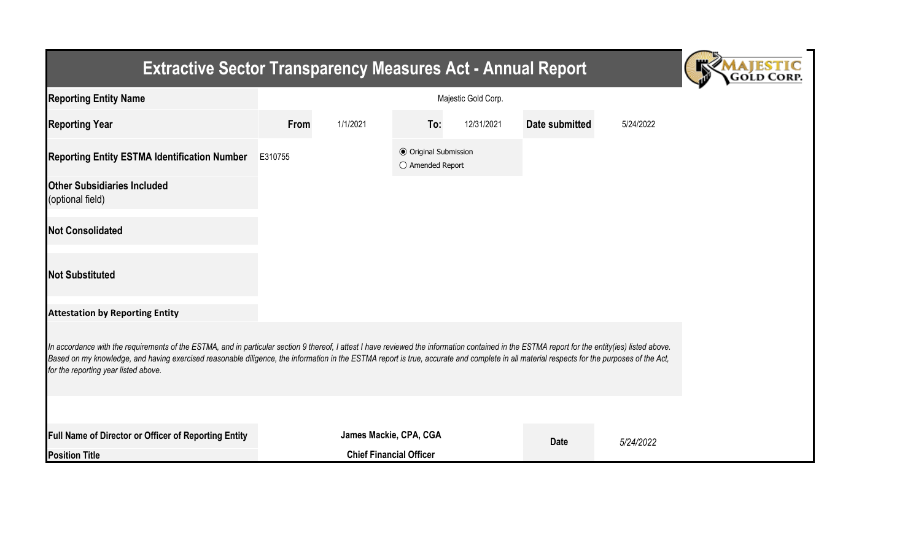| <b>Extractive Sector Transparency Measures Act - Annual Report</b>                                                                                                                                                                                                                                                                                                                                                                    |                     |                        |                                                  |            |                |           |  |  |  |  |
|---------------------------------------------------------------------------------------------------------------------------------------------------------------------------------------------------------------------------------------------------------------------------------------------------------------------------------------------------------------------------------------------------------------------------------------|---------------------|------------------------|--------------------------------------------------|------------|----------------|-----------|--|--|--|--|
| <b>Reporting Entity Name</b>                                                                                                                                                                                                                                                                                                                                                                                                          | Majestic Gold Corp. |                        |                                                  |            |                |           |  |  |  |  |
| <b>Reporting Year</b>                                                                                                                                                                                                                                                                                                                                                                                                                 | From                | 1/1/2021               | To:                                              | 12/31/2021 | Date submitted | 5/24/2022 |  |  |  |  |
| <b>Reporting Entity ESTMA Identification Number</b>                                                                                                                                                                                                                                                                                                                                                                                   | E310755             |                        | <b>● Original Submission</b><br>○ Amended Report |            |                |           |  |  |  |  |
| <b>Other Subsidiaries Included</b><br>(optional field)                                                                                                                                                                                                                                                                                                                                                                                |                     |                        |                                                  |            |                |           |  |  |  |  |
| <b>Not Consolidated</b>                                                                                                                                                                                                                                                                                                                                                                                                               |                     |                        |                                                  |            |                |           |  |  |  |  |
| <b>Not Substituted</b>                                                                                                                                                                                                                                                                                                                                                                                                                |                     |                        |                                                  |            |                |           |  |  |  |  |
| <b>Attestation by Reporting Entity</b>                                                                                                                                                                                                                                                                                                                                                                                                |                     |                        |                                                  |            |                |           |  |  |  |  |
| In accordance with the requirements of the ESTMA, and in particular section 9 thereof, I attest I have reviewed the information contained in the ESTMA report for the entity(ies) listed above.<br>Based on my knowledge, and having exercised reasonable diligence, the information in the ESTMA report is true, accurate and complete in all material respects for the purposes of the Act,<br>for the reporting year listed above. |                     |                        |                                                  |            |                |           |  |  |  |  |
|                                                                                                                                                                                                                                                                                                                                                                                                                                       |                     |                        |                                                  |            |                |           |  |  |  |  |
| Full Name of Director or Officer of Reporting Entity                                                                                                                                                                                                                                                                                                                                                                                  |                     | James Mackie, CPA, CGA |                                                  |            | <b>Date</b>    | 5/24/2022 |  |  |  |  |
| <b>Position Title</b>                                                                                                                                                                                                                                                                                                                                                                                                                 |                     |                        | <b>Chief Financial Officer</b>                   |            |                |           |  |  |  |  |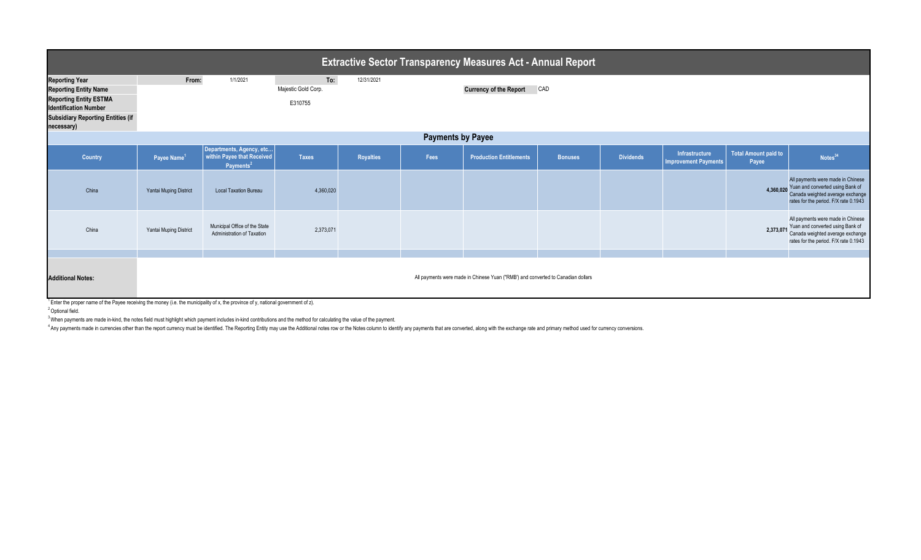| <b>Extractive Sector Transparency Measures Act - Annual Report</b>                                                                                                               |                         |                                                                                 |                                       |                  |      |                                                                                  |                |                  |                                                      |                                      |                                                                                                                                                              |  |
|----------------------------------------------------------------------------------------------------------------------------------------------------------------------------------|-------------------------|---------------------------------------------------------------------------------|---------------------------------------|------------------|------|----------------------------------------------------------------------------------|----------------|------------------|------------------------------------------------------|--------------------------------------|--------------------------------------------------------------------------------------------------------------------------------------------------------------|--|
| <b>Reporting Year</b><br><b>Reporting Entity Name</b><br><b>Reporting Entity ESTMA</b><br><b>Identification Number</b><br><b>Subsidiary Reporting Entities (if</b><br>necessary) | From:                   | 1/1/2021                                                                        | To:<br>Majestic Gold Corp.<br>E310755 | 12/31/2021       |      | <b>Currency of the Report</b>                                                    | CAD            |                  |                                                      |                                      |                                                                                                                                                              |  |
| <b>Payments by Payee</b>                                                                                                                                                         |                         |                                                                                 |                                       |                  |      |                                                                                  |                |                  |                                                      |                                      |                                                                                                                                                              |  |
| Country                                                                                                                                                                          | Payee Name <sup>1</sup> | Departments, Agency, etc<br>within Payee that Received<br>Payments <sup>2</sup> | <b>Taxes</b>                          | <b>Royalties</b> | Fees | <b>Production Entitlements</b>                                                   | <b>Bonuses</b> | <b>Dividends</b> | <b>Infrastructure</b><br><b>Improvement Payments</b> | <b>Total Amount paid to</b><br>Payee | Notes <sup>34</sup>                                                                                                                                          |  |
| China                                                                                                                                                                            | Yantai Muping District  | <b>Local Taxation Bureau</b>                                                    | 4,360,020                             |                  |      |                                                                                  |                |                  |                                                      | 4,360,020                            | All payments were made in Chinese<br>Yuan and converted using Bank of<br>Canada weighted average exchange<br>rates for the period. F/X rate 0.1943           |  |
| China                                                                                                                                                                            | Yantai Muping District  | Municipal Office of the State<br>Administration of Taxation                     | 2,373,071                             |                  |      |                                                                                  |                |                  |                                                      |                                      | All payments were made in Chinese<br>2,373,071 Yuan and converted using Bank of<br>Canada weighted average exchange<br>rates for the period. F/X rate 0.1943 |  |
| <b>Additional Notes:</b>                                                                                                                                                         |                         |                                                                                 |                                       |                  |      | All payments were made in Chinese Yuan ("RMB") and converted to Canadian dollars |                |                  |                                                      |                                      |                                                                                                                                                              |  |

<sup>1</sup> Enter the proper name of the Payee receiving the money (i.e. the municipality of x, the province of y, national government of z).

<sup>2</sup> Optional field.

<sup>3</sup> When payments are made in-kind, the notes field must highlight which payment includes in-kind contributions and the method for calculating the value of the payment.

4 Any payments made in currencies other than the report currency must be identified. The Reporting Entity may use the Additional notes row or the Notes column to identify any payments that are converted, along with the exc